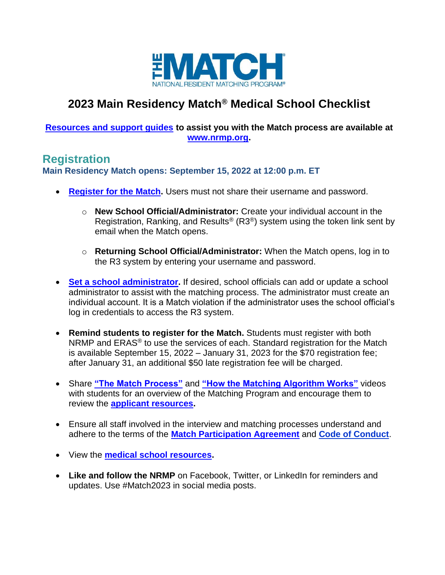

# **2023 Main Residency Match® Medical School Checklist**

#### **[Resources and support guides](https://www.nrmp.org/medical-schools/) to assist you with the Match process are available at [www.nrmp.org.](http://www.nrmp.org/)**

### **Registration**

**Main Residency Match opens: September 15, 2022 at 12:00 p.m. ET**

- **[Register for the Match.](https://r3.nrmp.org/viewLoginPage)** Users must not share their username and password.
	- o **New School Official/Administrator:** Create your individual account in the Registration, Ranking, and Results<sup>®</sup> (R3<sup>®</sup>) system using the token link sent by email when the Match opens.
	- o **Returning School Official/Administrator:** When the Match opens, log in to the R3 system by entering your username and password.
- **[Set a school administrator.](https://www.nrmp.org/wp-content/uploads/2021/08/Add_Maintain_SA-MRM-SO.pdf)** If desired, school officials can add or update a school administrator to assist with the matching process. The administrator must create an individual account. It is a Match violation if the administrator uses the school official's log in credentials to access the R3 system.
- **Remind students to register for the Match.** Students must register with both NRMP and ERAS<sup>®</sup> to use the services of each. Standard registration for the Match is available September 15, 2022 – January 31, 2023 for the \$70 registration fee; after January 31, an additional \$50 late registration fee will be charged.
- Share **["The Match Process"](https://www.nrmp.org/residency-applicants/)** and **["How the Matching Algorithm Works"](https://www.nrmp.org/intro-to-the-match/how-matching-algorithm-works/)** videos with students for an overview of the Matching Program and encourage them to review the **[applicant resources.](https://www.nrmp.org/residency-applicants/get-ready-for-the-match/)**
- Ensure all staff involved in the interview and matching processes understand and adhere to the terms of the **[Match Participation Agreement](https://www.nrmp.org/policies/)** and **[Code of Conduct](https://www.nrmp.org/intro-to-the-match/the-match-agreement/match-codes-of-conduct/)**.
- View the **[medical school resources.](https://www.nrmp.org/medical-schools/)**
- **Like and follow the NRMP** on Facebook, Twitter, or LinkedIn for reminders and updates. Use #Match2023 in social media posts.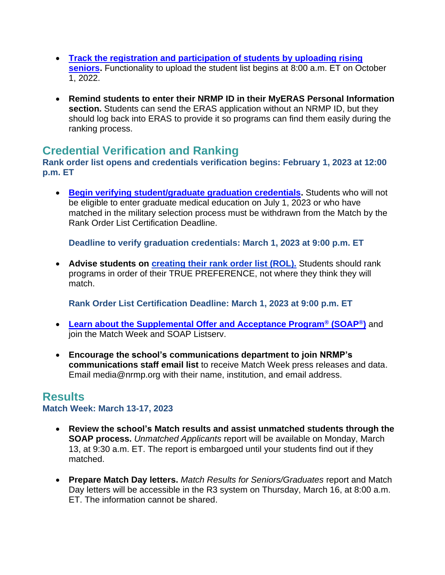- **[Track the registration and participation of students by uploading rising](https://www.nrmp.org/medical-schools/managing-students-and-graduates/)  [seniors.](https://www.nrmp.org/medical-schools/managing-students-and-graduates/)** Functionality to upload the student list begins at 8:00 a.m. ET on October 1, 2022.
- **Remind students to enter their NRMP ID in their MyERAS Personal Information section.** Students can send the ERAS application without an NRMP ID, but they should log back into ERAS to provide it so programs can find them easily during the ranking process.

## **Credential Verification and Ranking**

**Rank order list opens and credentials verification begins: February 1, 2023 at 12:00 p.m. ET**

• **[Begin verifying student/graduate graduation credentials.](https://www.nrmp.org/medical-schools/verifying-graduation-credentials/)** Students who will not be eligible to enter graduate medical education on July 1, 2023 or who have matched in the military selection process must be withdrawn from the Match by the Rank Order List Certification Deadline.

**Deadline to verify graduation credentials: March 1, 2023 at 9:00 p.m. ET**

• **Advise students on [creating their rank order list \(ROL\).](https://www.nrmp.org/residency-applicants/rank-your-programs-main/)** Students should rank programs in order of their TRUE PREFERENCE, not where they think they will match.

**Rank Order List Certification Deadline: March 1, 2023 at 9:00 p.m. ET**

- **[Learn about the Supplemental Offer and Acceptance Program](https://www.nrmp.org/medical-schools/match-week-for-schools/)® (SOAP®)** and join the Match Week and SOAP Listserv.
- **Encourage the school's communications department to join NRMP's communications staff email list** to receive Match Week press releases and data. Email [media@nrmp.org](mailto:media@nrmp.org) with their name, institution, and email address.

### **Results**

#### **Match Week: March 13-17, 2023**

- **Review the school's Match results and assist unmatched students through the SOAP process.** *Unmatched Applicants* report will be available on Monday, March 13, at 9:30 a.m. ET. The report is embargoed until your students find out if they matched.
- **Prepare Match Day letters.** *Match Results for Seniors/Graduates* report and Match Day letters will be accessible in the R3 system on Thursday, March 16, at 8:00 a.m. ET. The information cannot be shared.